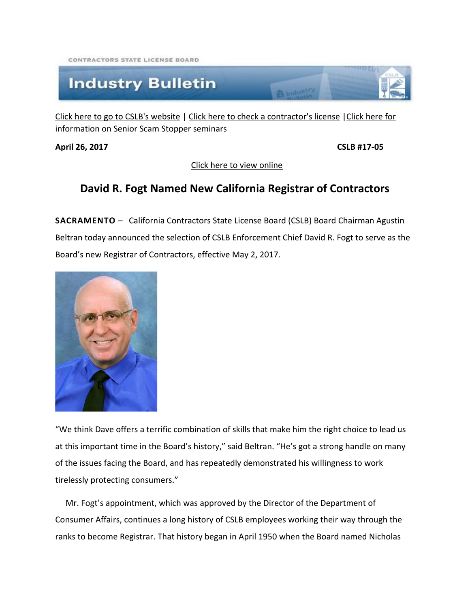CONTRACTORS STATE LICENSE ROARD

## **Industry Bulletin**

[Click here to go to CSLB's website](http://www.cslb.ca.gov/) | [Click here to check a contractor's license](http://www.checkthelicensefirst.com/) [|Click here for](http://www.seniorscamstopper.com/)  [information on Senior Scam Stopper seminars](http://www.seniorscamstopper.com/)

**April 26, 2017 CSLB #17-05**

[Click here to view online](http://www.cslb.ca.gov/Media_Room/Industry_Bulletins/2017/April_26.aspx)

**CA** Industry

## **David R. Fogt Named New California Registrar of Contractors**

**SACRAMENTO** – California Contractors State License Board (CSLB) Board Chairman Agustin Beltran today announced the selection of CSLB Enforcement Chief David R. Fogt to serve as the Board's new Registrar of Contractors, effective May 2, 2017.



"We think Dave offers a terrific combination of skills that make him the right choice to lead us at this important time in the Board's history," said Beltran. "He's got a strong handle on many of the issues facing the Board, and has repeatedly demonstrated his willingness to work tirelessly protecting consumers."

 Mr. Fogt's appointment, which was approved by the Director of the Department of Consumer Affairs, continues a long history of CSLB employees working their way through the ranks to become Registrar. That history began in April 1950 when the Board named Nicholas